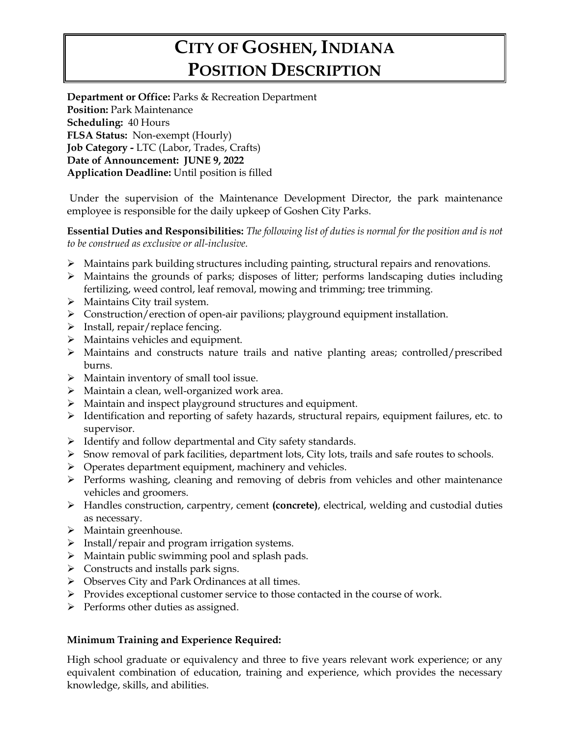# **CITY OF GOSHEN, INDIANA POSITION DESCRIPTION**

**Department or Office:** Parks & Recreation Department **Position:** Park Maintenance **Scheduling:** 40 Hours **FLSA Status:** Non-exempt (Hourly) **Job Category -** LTC (Labor, Trades, Crafts) **Date of Announcement: JUNE 9, 2022 Application Deadline:** Until position is filled

Under the supervision of the Maintenance Development Director, the park maintenance employee is responsible for the daily upkeep of Goshen City Parks.

**Essential Duties and Responsibilities:** *The following list of duties is normal for the position and is not to be construed as exclusive or all-inclusive.*

- ➢ Maintains park building structures including painting, structural repairs and renovations.
- ➢ Maintains the grounds of parks; disposes of litter; performs landscaping duties including fertilizing, weed control, leaf removal, mowing and trimming; tree trimming.
- ➢ Maintains City trail system.
- $\triangleright$  Construction/erection of open-air pavilions; playground equipment installation.
- $\triangleright$  Install, repair/replace fencing.
- ➢ Maintains vehicles and equipment.
- ➢ Maintains and constructs nature trails and native planting areas; controlled/prescribed burns.
- ➢ Maintain inventory of small tool issue.
- ➢ Maintain a clean, well-organized work area.
- ➢ Maintain and inspect playground structures and equipment.
- $\triangleright$  Identification and reporting of safety hazards, structural repairs, equipment failures, etc. to supervisor.
- ➢ Identify and follow departmental and City safety standards.
- ➢ Snow removal of park facilities, department lots, City lots, trails and safe routes to schools.
- ➢ Operates department equipment, machinery and vehicles.
- ➢ Performs washing, cleaning and removing of debris from vehicles and other maintenance vehicles and groomers.
- ➢ Handles construction, carpentry, cement **(concrete)**, electrical, welding and custodial duties as necessary.
- ➢ Maintain greenhouse.
- ➢ Install/repair and program irrigation systems.
- $\triangleright$  Maintain public swimming pool and splash pads.
- ➢ Constructs and installs park signs.
- ➢ Observes City and Park Ordinances at all times.
- ➢ Provides exceptional customer service to those contacted in the course of work.
- ➢ Performs other duties as assigned.

#### **Minimum Training and Experience Required:**

High school graduate or equivalency and three to five years relevant work experience; or any equivalent combination of education, training and experience, which provides the necessary knowledge, skills, and abilities.